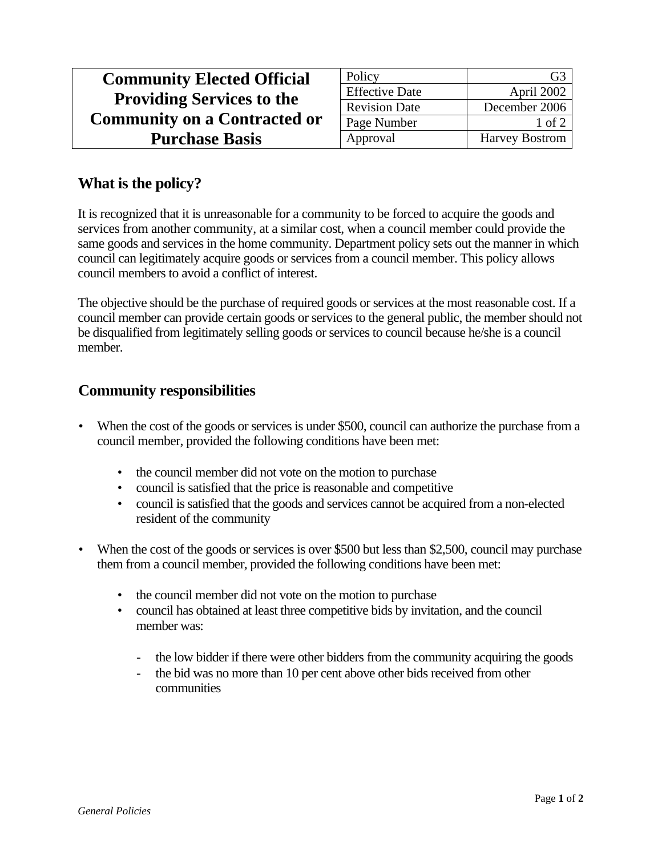| <b>Community Elected Official</b>   | Policy                | G3                    |
|-------------------------------------|-----------------------|-----------------------|
| <b>Providing Services to the</b>    | <b>Effective Date</b> | April 2002            |
|                                     | <b>Revision Date</b>  | December 2006         |
| <b>Community on a Contracted or</b> | Page Number           | $1$ of $2$            |
| <b>Purchase Basis</b>               | Approval              | <b>Harvey Bostrom</b> |

## **What is the policy?**

It is recognized that it is unreasonable for a community to be forced to acquire the goods and services from another community, at a similar cost, when a council member could provide the same goods and services in the home community. Department policy sets out the manner in which council can legitimately acquire goods or services from a council member. This policy allows council members to avoid a conflict of interest.

The objective should be the purchase of required goods or services at the most reasonable cost. If a council member can provide certain goods or services to the general public, the member should not be disqualified from legitimately selling goods or services to council because he/she is a council member.

## **Community responsibilities**

- When the cost of the goods or services is under \$500, council can authorize the purchase from a council member, provided the following conditions have been met:
	- the council member did not vote on the motion to purchase
	- council is satisfied that the price is reasonable and competitive
	- council is satisfied that the goods and services cannot be acquired from a non-elected resident of the community
- When the cost of the goods or services is over \$500 but less than \$2,500, council may purchase them from a council member, provided the following conditions have been met:
	- the council member did not vote on the motion to purchase
	- council has obtained at least three competitive bids by invitation, and the council member was:
		- the low bidder if there were other bidders from the community acquiring the goods
		- the bid was no more than 10 per cent above other bids received from other communities